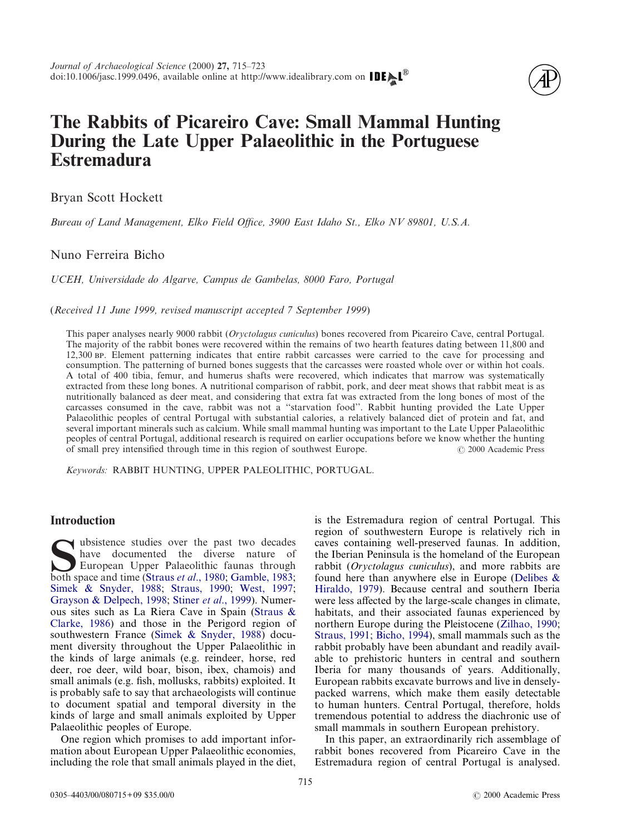

# **The Rabbits of Picareiro Cave: Small Mammal Hunting During the Late Upper Palaeolithic in the Portuguese Estremadura**

Bryan Scott Hockett

*Bureau of Land Management, Elko Field Office, 3900 East Idaho St., Elko NV 89801, U.S.A.*

# Nuno Ferreira Bicho

*UCEH, Universidade do Algarve, Campus de Gambelas, 8000 Faro, Portugal*

(*Received 11 June 1999, revised manuscript accepted 7 September 1999*)

This paper analyses nearly 9000 rabbit (*Oryctolagus cuniculus*) bones recovered from Picareiro Cave, central Portugal. The majority of the rabbit bones were recovered within the remains of two hearth features dating between 11,800 and 12,300 BP. Element patterning indicates that entire rabbit carcasses were carried to the cave for processing and consumption. The patterning of burned bones suggests that the carcasses were roasted whole over or within hot coals. A total of 400 tibia, femur, and humerus shafts were recovered, which indicates that marrow was systematically extracted from these long bones. A nutritional comparison of rabbit, pork, and deer meat shows that rabbit meat is as nutritionally balanced as deer meat, and considering that extra fat was extracted from the long bones of most of the carcasses consumed in the cave, rabbit was not a ''starvation food''. Rabbit hunting provided the Late Upper Palaeolithic peoples of central Portugal with substantial calories, a relatively balanced diet of protein and fat, and several important minerals such as calcium. While small mammal hunting was important to the Late Upper Palaeolithic peoples of central Portugal, additional research is required on earlier occupations before we know whether the hunting of small prey intensified through time in this region of southwest Europe. 2000 Academic Press

*Keywords:* RABBIT HUNTING, UPPER PALEOLITHIC, PORTUGAL.

# **Introduction**

**Solution** ubsistence studies over the past two decades have documented the diverse nature of European Upper Palaeolithic faunas through both space and time (Straus *et al.*, 1980; Gamble, 1983; have documented the diverse nature of European Upper Palaeolithic faunas through both space and time [\(Straus](#page-8-0) *et al*., 1980; [Gamble, 1983;](#page-7-0) [Simek & Snyder, 1988;](#page-8-1) [Straus, 1990;](#page-8-2) [West, 1997;](#page-8-3) [Grayson & Delpech, 1998;](#page-7-1) Stiner *et al*[., 1999\)](#page-8-4). Numerous sites such as La Riera Cave in Spain [\(Straus &](#page-8-5) [Clarke, 1986\)](#page-8-5) and those in the Perigord region of southwestern France [\(Simek & Snyder, 1988\)](#page-8-1) document diversity throughout the Upper Palaeolithic in the kinds of large animals (e.g. reindeer, horse, red deer, roe deer, wild boar, bison, ibex, chamois) and small animals (e.g. fish, mollusks, rabbits) exploited. It is probably safe to say that archaeologists will continue to document spatial and temporal diversity in the kinds of large and small animals exploited by Upper Palaeolithic peoples of Europe.

One region which promises to add important information about European Upper Palaeolithic economies, including the role that small animals played in the diet,

is the Estremadura region of central Portugal. This region of southwestern Europe is relatively rich in caves containing well-preserved faunas. In addition, the Iberian Peninsula is the homeland of the European rabbit (*Oryctolagus cuniculus*), and more rabbits are found here than anywhere else in Europe [\(Delibes &](#page-7-2) [Hiraldo, 1979\)](#page-7-2). Because central and southern Iberia were less affected by the large-scale changes in climate, habitats, and their associated faunas experienced by northern Europe during the Pleistocene [\(Zilhao, 1990;](#page-8-6) [Straus, 1991;](#page-8-7) [Bicho, 1994\)](#page-7-3), small mammals such as the rabbit probably have been abundant and readily available to prehistoric hunters in central and southern Iberia for many thousands of years. Additionally, European rabbits excavate burrows and live in denselypacked warrens, which make them easily detectable to human hunters. Central Portugal, therefore, holds tremendous potential to address the diachronic use of small mammals in southern European prehistory.

In this paper, an extraordinarily rich assemblage of rabbit bones recovered from Picareiro Cave in the Estremadura region of central Portugal is analysed.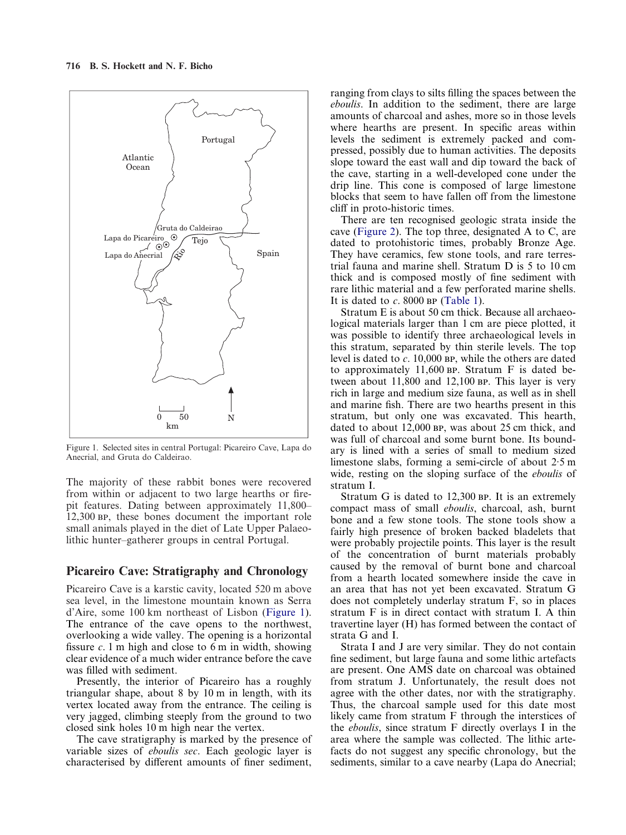<span id="page-1-0"></span>

Figure 1. Selected sites in central Portugal: Picareiro Cave, Lapa do Anecrial, and Gruta do Caldeirao.

The majority of these rabbit bones were recovered from within or adjacent to two large hearths or firepit features. Dating between approximately 11,800– 12,300 BP, these bones document the important role small animals played in the diet of Late Upper Palaeolithic hunter–gatherer groups in central Portugal.

### **Picareiro Cave: Stratigraphy and Chronology**

Picareiro Cave is a karstic cavity, located 520 m above sea level, in the limestone mountain known as Serra d'Aire, some 100 km northeast of Lisbon [\(Figure 1\)](#page-1-0). The entrance of the cave opens to the northwest, overlooking a wide valley. The opening is a horizontal fissure *c*. 1 m high and close to 6 m in width, showing clear evidence of a much wider entrance before the cave was filled with sediment.

Presently, the interior of Picareiro has a roughly triangular shape, about 8 by 10 m in length, with its vertex located away from the entrance. The ceiling is very jagged, climbing steeply from the ground to two closed sink holes 10 m high near the vertex.

The cave stratigraphy is marked by the presence of variable sizes of *eboulis sec*. Each geologic layer is characterised by different amounts of finer sediment, ranging from clays to silts filling the spaces between the *eboulis*. In addition to the sediment, there are large amounts of charcoal and ashes, more so in those levels where hearths are present. In specific areas within levels the sediment is extremely packed and compressed, possibly due to human activities. The deposits slope toward the east wall and dip toward the back of the cave, starting in a well-developed cone under the drip line. This cone is composed of large limestone blocks that seem to have fallen off from the limestone cliff in proto-historic times.

There are ten recognised geologic strata inside the cave [\(Figure 2\)](#page-2-0). The top three, designated A to C, are dated to protohistoric times, probably Bronze Age. They have ceramics, few stone tools, and rare terrestrial fauna and marine shell. Stratum D is 5 to 10 cm thick and is composed mostly of fine sediment with rare lithic material and a few perforated marine shells. It is dated to  $c$ . 8000 BP [\(Table 1\)](#page-2-1).

Stratum E is about 50 cm thick. Because all archaeological materials larger than 1 cm are piece plotted, it was possible to identify three archaeological levels in this stratum, separated by thin sterile levels. The top level is dated to  $c$ . 10,000 BP, while the others are dated to approximately 11,600  $BP$ . Stratum F is dated between about  $11,800$  and  $12,100$   $BP$ . This layer is very rich in large and medium size fauna, as well as in shell and marine fish. There are two hearths present in this stratum, but only one was excavated. This hearth, dated to about  $12,000$  BP, was about  $25$  cm thick, and was full of charcoal and some burnt bone. Its boundary is lined with a series of small to medium sized limestone slabs, forming a semi-circle of about 2·5 m wide, resting on the sloping surface of the *eboulis* of stratum I.

Stratum G is dated to  $12,300$  BP. It is an extremely compact mass of small *eboulis*, charcoal, ash, burnt bone and a few stone tools. The stone tools show a fairly high presence of broken backed bladelets that were probably projectile points. This layer is the result of the concentration of burnt materials probably caused by the removal of burnt bone and charcoal from a hearth located somewhere inside the cave in an area that has not yet been excavated. Stratum G does not completely underlay stratum F, so in places stratum F is in direct contact with stratum I. A thin travertine layer (H) has formed between the contact of strata G and I.

Strata I and J are very similar. They do not contain fine sediment, but large fauna and some lithic artefacts are present. One AMS date on charcoal was obtained from stratum J. Unfortunately, the result does not agree with the other dates, nor with the stratigraphy. Thus, the charcoal sample used for this date most likely came from stratum F through the interstices of the *eboulis*, since stratum F directly overlays I in the area where the sample was collected. The lithic artefacts do not suggest any specific chronology, but the sediments, similar to a cave nearby (Lapa do Anecrial;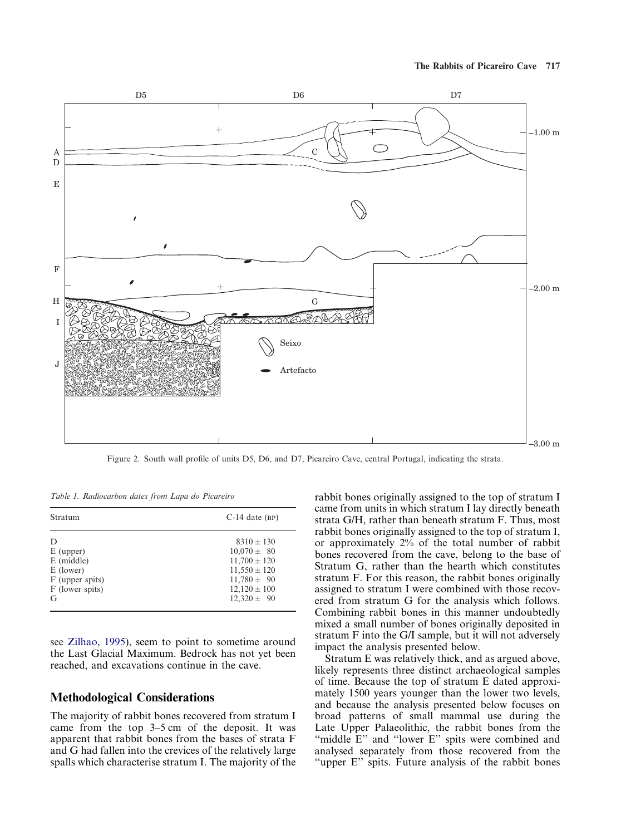<span id="page-2-0"></span>

Figure 2. South wall profile of units D5, D6, and D7, Picareiro Cave, central Portugal, indicating the strata.

<span id="page-2-1"></span>*Table 1. Radiocarbon dates from Lapa do Picareiro*

| Stratum         | $C-14$ date (BP) |  |  |
|-----------------|------------------|--|--|
| D               | $8310 \pm 130$   |  |  |
| $E$ (upper)     | $10,070 \pm 80$  |  |  |
| $E$ (middle)    | $11,700 \pm 120$ |  |  |
| $E$ (lower)     | $11,550 \pm 120$ |  |  |
| F (upper spits) | $11,780 \pm 90$  |  |  |
| F (lower spits) | $12,120 \pm 100$ |  |  |
| G               | $12,320 \pm 90$  |  |  |

see [Zilhao, 1995\)](#page-8-8), seem to point to sometime around the Last Glacial Maximum. Bedrock has not yet been reached, and excavations continue in the cave.

# **Methodological Considerations**

The majority of rabbit bones recovered from stratum I came from the top 3–5 cm of the deposit. It was apparent that rabbit bones from the bases of strata F and G had fallen into the crevices of the relatively large spalls which characterise stratum I. The majority of the rabbit bones originally assigned to the top of stratum I came from units in which stratum I lay directly beneath strata G/H, rather than beneath stratum F. Thus, most rabbit bones originally assigned to the top of stratum I, or approximately 2% of the total number of rabbit bones recovered from the cave, belong to the base of Stratum G, rather than the hearth which constitutes stratum F. For this reason, the rabbit bones originally assigned to stratum I were combined with those recovered from stratum G for the analysis which follows. Combining rabbit bones in this manner undoubtedly mixed a small number of bones originally deposited in stratum F into the G/I sample, but it will not adversely impact the analysis presented below.

Stratum E was relatively thick, and as argued above, likely represents three distinct archaeological samples of time. Because the top of stratum E dated approximately 1500 years younger than the lower two levels, and because the analysis presented below focuses on broad patterns of small mammal use during the Late Upper Palaeolithic, the rabbit bones from the "middle E" and "lower E" spits were combined and analysed separately from those recovered from the "upper E" spits. Future analysis of the rabbit bones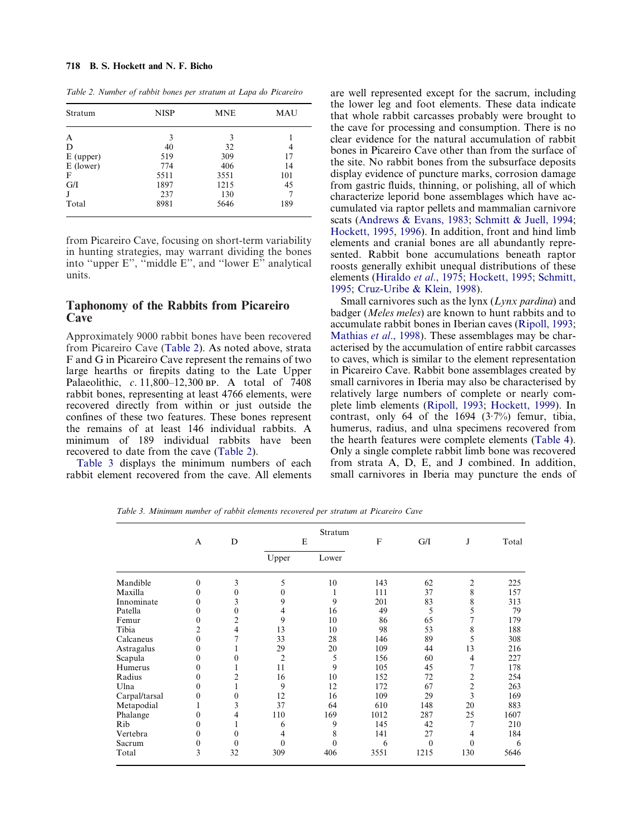#### **718 B. S. Hockett and N. F. Bicho**

<span id="page-3-0"></span>*Table 2. Number of rabbit bones per stratum at Lapa do Picareiro*

| Stratum     | <b>NISP</b> | <b>MNE</b> | <b>MAU</b> |  |  |
|-------------|-------------|------------|------------|--|--|
| A           | 3           | 3          |            |  |  |
| D           | 40          | 32         | 4          |  |  |
| $E$ (upper) | 519         | 309        | 17         |  |  |
| $E$ (lower) | 774         | 406        | 14         |  |  |
| F           | 5511        | 3551       | 101        |  |  |
| G/I         | 1897        | 1215       | 45         |  |  |
| J           | 237         | 130        |            |  |  |
| Total       | 8981        | 5646       | 189        |  |  |

from Picareiro Cave, focusing on short-term variability in hunting strategies, may warrant dividing the bones into ''upper E'', ''middle E'', and ''lower E'' analytical units.

### **Taphonomy of the Rabbits from Picareiro Cave**

Approximately 9000 rabbit bones have been recovered from Picareiro Cave [\(Table 2\)](#page-3-0). As noted above, strata F and G in Picareiro Cave represent the remains of two large hearths or firepits dating to the Late Upper Palaeolithic, *c.* 11,800–12,300 BP. A total of 7408 rabbit bones, representing at least 4766 elements, were recovered directly from within or just outside the confines of these two features. These bones represent the remains of at least 146 individual rabbits. A minimum of 189 individual rabbits have been recovered to date from the cave [\(Table 2\)](#page-3-0).

<span id="page-3-1"></span>[Table 3](#page-3-1) displays the minimum numbers of each rabbit element recovered from the cave. All elements are well represented except for the sacrum, including the lower leg and foot elements. These data indicate that whole rabbit carcasses probably were brought to the cave for processing and consumption. There is no clear evidence for the natural accumulation of rabbit bones in Picareiro Cave other than from the surface of the site. No rabbit bones from the subsurface deposits display evidence of puncture marks, corrosion damage from gastric fluids, thinning, or polishing, all of which characterize leporid bone assemblages which have accumulated via raptor pellets and mammalian carnivore scats [\(Andrews & Evans, 1983;](#page-7-4) [Schmitt & Juell, 1994;](#page-8-9) [Hockett, 1995,](#page-7-5) [1996\)](#page-7-6). In addition, front and hind limb elements and cranial bones are all abundantly represented. Rabbit bone accumulations beneath raptor roosts generally exhibit unequal distributions of these elements [\(Hiraldo](#page-7-7) *et al*., 1975; [Hockett, 1995;](#page-7-5) [Schmitt,](#page-8-10) [1995;](#page-8-10) [Cruz-Uribe & Klein, 1998\)](#page-7-8).

Small carnivores such as the lynx (*Lynx pardina*) and badger (*Meles meles*) are known to hunt rabbits and to accumulate rabbit bones in Iberian caves [\(Ripoll, 1993;](#page-7-9) [Mathias](#page-7-10) *et al*., 1998). These assemblages may be characterised by the accumulation of entire rabbit carcasses to caves, which is similar to the element representation in Picareiro Cave. Rabbit bone assemblages created by small carnivores in Iberia may also be characterised by relatively large numbers of complete or nearly complete limb elements [\(Ripoll, 1993;](#page-7-9) [Hockett, 1999\)](#page-7-11). In contrast, only 64 of the 1694 (3·7%) femur, tibia, humerus, radius, and ulna specimens recovered from the hearth features were complete elements [\(Table 4\)](#page-4-0). Only a single complete rabbit limb bone was recovered from strata A, D, E, and J combined. In addition, small carnivores in Iberia may puncture the ends of

*Table 3. Minimum number of rabbit elements recovered per stratum at Picareiro Cave*

|               | A                | D                | Stratum<br>E     |          | F    | G/I              | J              | Total |
|---------------|------------------|------------------|------------------|----------|------|------------------|----------------|-------|
|               |                  |                  | Upper            | Lower    |      |                  |                |       |
| Mandible      | $\theta$         | 3                | 5                | 10       | 143  | 62               | $\mathfrak{2}$ | 225   |
| Maxilla       | $\theta$         | $\mathbf{0}$     | $\boldsymbol{0}$ | 1        | 111  | 37               | 8              | 157   |
| Innominate    | $\Omega$         | 3                | 9                | 9        | 201  | 83               | 8              | 313   |
| Patella       | $\theta$         | $\mathbf{0}$     | 4                | 16       | 49   | 5                | 5              | 79    |
| Femur         | $\theta$         | 2                | 9                | 10       | 86   | 65               | $\overline{7}$ | 179   |
| Tibia         | 2                | 4                | 13               | 10       | 98   | 53               | 8              | 188   |
| Calcaneus     | $\mathbf{0}$     | 7                | 33               | 28       | 146  | 89               | 5              | 308   |
| Astragalus    | $\mathbf{0}$     |                  | 29               | 20       | 109  | 44               | 13             | 216   |
| Scapula       | $\theta$         | $\theta$         | $\overline{c}$   | 5        | 156  | 60               | 4              | 227   |
| Humerus       | $\theta$         | 1                | 11               | 9        | 105  | 45               | 7              | 178   |
| Radius        | $\theta$         | 2                | 16               | 10       | 152  | 72               | 2              | 254   |
| Ulna          | $\theta$         | 1                | 9                | 12       | 172  | 67               | $\mathfrak{2}$ | 263   |
| Carpal/tarsal | $\theta$         | $\boldsymbol{0}$ | 12               | 16       | 109  | 29               | $\overline{3}$ | 169   |
| Metapodial    | Ι.               | 3                | 37               | 64       | 610  | 148              | 20             | 883   |
| Phalange      | $\mathbf{0}$     | 4                | 110              | 169      | 1012 | 287              | 25             | 1607  |
| Rib           | $\mathbf{0}$     | T                | 6                | 9        | 145  | 42               | 7              | 210   |
| Vertebra      | $\mathbf{0}$     | $\mathbf{0}$     | 4                | 8        | 141  | 27               | 4              | 184   |
| Sacrum        | $\boldsymbol{0}$ | $\boldsymbol{0}$ | $\mathbf{0}$     | $\theta$ | 6    | $\boldsymbol{0}$ | $\theta$       | 6     |
| Total         | 3                | 32               | 309              | 406      | 3551 | 1215             | 130            | 5646  |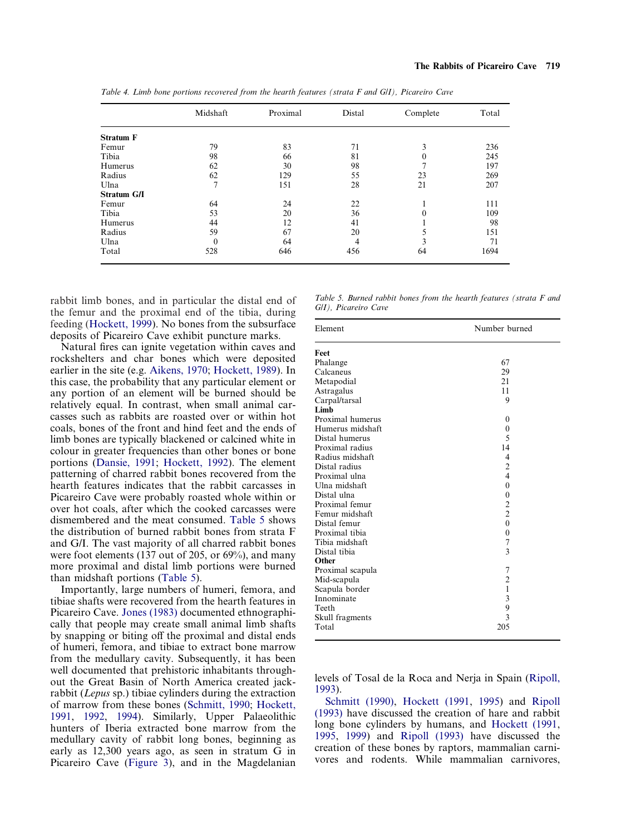<span id="page-4-0"></span>

|                    | Midshaft | Proximal | Distal | Complete | Total |
|--------------------|----------|----------|--------|----------|-------|
| <b>Stratum F</b>   |          |          |        |          |       |
| Femur              | 79       | 83       | 71     | 3        | 236   |
| Tibia              | 98       | 66       | 81     | 0        | 245   |
| Humerus            | 62       | 30       | 98     |          | 197   |
| Radius             | 62       | 129      | 55     | 23       | 269   |
| Ulna               |          | 151      | 28     | 21       | 207   |
| <b>Stratum G/I</b> |          |          |        |          |       |
| Femur              | 64       | 24       | 22     |          | 111   |
| Tibia              | 53       | 20       | 36     | 0        | 109   |
| Humerus            | 44       | 12       | 41     |          | 98    |
| Radius             | 59       | 67       | 20     |          | 151   |
| Ulna               | 0        | 64       | 4      | 3        | 71    |
| Total              | 528      | 646      | 456    | 64       | 1694  |

*Table 4. Limb bone portions recovered from the hearth features (strata F and G/I), Picareiro Cave*

rabbit limb bones, and in particular the distal end of the femur and the proximal end of the tibia, during feeding [\(Hockett, 1999\)](#page-7-11). No bones from the subsurface deposits of Picareiro Cave exhibit puncture marks.

Natural fires can ignite vegetation within caves and rockshelters and char bones which were deposited earlier in the site (e.g. [Aikens, 1970;](#page-7-12) [Hockett, 1989\)](#page-7-13). In this case, the probability that any particular element or any portion of an element will be burned should be relatively equal. In contrast, when small animal carcasses such as rabbits are roasted over or within hot coals, bones of the front and hind feet and the ends of limb bones are typically blackened or calcined white in colour in greater frequencies than other bones or bone portions [\(Dansie, 1991;](#page-7-14) [Hockett, 1992\)](#page-7-15). The element patterning of charred rabbit bones recovered from the hearth features indicates that the rabbit carcasses in Picareiro Cave were probably roasted whole within or over hot coals, after which the cooked carcasses were dismembered and the meat consumed. [Table 5](#page-4-1) shows the distribution of burned rabbit bones from strata F and G/I. The vast majority of all charred rabbit bones were foot elements (137 out of 205, or 69%), and many more proximal and distal limb portions were burned than midshaft portions [\(Table 5\)](#page-4-1).

Importantly, large numbers of humeri, femora, and tibiae shafts were recovered from the hearth features in Picareiro Cave. [Jones \(1983\)](#page-7-16) documented ethnographically that people may create small animal limb shafts by snapping or biting off the proximal and distal ends of humeri, femora, and tibiae to extract bone marrow from the medullary cavity. Subsequently, it has been well documented that prehistoric inhabitants throughout the Great Basin of North America created jackrabbit (*Lepus* sp.) tibiae cylinders during the extraction of marrow from these bones [\(Schmitt, 1990;](#page-8-11) [Hockett,](#page-7-17) [1991,](#page-7-17) [1992,](#page-7-15) [1994\)](#page-7-18). Similarly, Upper Palaeolithic hunters of Iberia extracted bone marrow from the medullary cavity of rabbit long bones, beginning as early as 12,300 years ago, as seen in stratum G in Picareiro Cave [\(Figure 3\)](#page-5-0), and in the Magdelanian

<span id="page-4-1"></span>*Table 5. Burned rabbit bones from the hearth features (strata F and G/I), Picareiro Cave*

| Element          | Number burned           |  |  |  |  |
|------------------|-------------------------|--|--|--|--|
| Feet             |                         |  |  |  |  |
| Phalange         | 67                      |  |  |  |  |
| Calcaneus        | 29                      |  |  |  |  |
| Metapodial       | 21                      |  |  |  |  |
| Astragalus       | 11                      |  |  |  |  |
| Carpal/tarsal    | 9                       |  |  |  |  |
| Limb             |                         |  |  |  |  |
| Proximal humerus | $\theta$                |  |  |  |  |
| Humerus midshaft | $\mathbf{0}$            |  |  |  |  |
| Distal humerus   | 5                       |  |  |  |  |
| Proximal radius  | 14                      |  |  |  |  |
| Radius midshaft  | 4                       |  |  |  |  |
| Distal radius    | $\overline{2}$          |  |  |  |  |
| Proximal ulna    | 4                       |  |  |  |  |
| Ulna midshaft    | $\theta$                |  |  |  |  |
| Distal ulna      | $\boldsymbol{0}$        |  |  |  |  |
| Proximal femur   | $\overline{\mathbf{c}}$ |  |  |  |  |
| Femur midshaft   | $\overline{c}$          |  |  |  |  |
| Distal femur     | $\theta$                |  |  |  |  |
| Proximal tibia   | $\mathbf{0}$            |  |  |  |  |
| Tibia midshaft   | 7                       |  |  |  |  |
| Distal tibia     | $\mathbf{3}$            |  |  |  |  |
| Other            |                         |  |  |  |  |
| Proximal scapula | 7                       |  |  |  |  |
| Mid-scapula      | $\overline{2}$          |  |  |  |  |
| Scapula border   | $\mathbf{1}$            |  |  |  |  |
| Innominate       | 3                       |  |  |  |  |
| Teeth            | 9                       |  |  |  |  |
| Skull fragments  | 3                       |  |  |  |  |
| Total            | 205                     |  |  |  |  |

levels of Tosal de la Roca and Nerja in Spain [\(Ripoll,](#page-7-9) [1993\)](#page-7-9).

[Schmitt \(1990\),](#page-8-11) [Hockett \(1991,](#page-7-17) [1995\)](#page-7-5) and [Ripoll](#page-7-9) [\(1993\)](#page-7-9) have discussed the creation of hare and rabbit long bone cylinders by humans, and [Hockett \(1991,](#page-7-17) [1995,](#page-7-5) [1999\)](#page-7-11) and [Ripoll \(1993\)](#page-7-9) have discussed the creation of these bones by raptors, mammalian carnivores and rodents. While mammalian carnivores,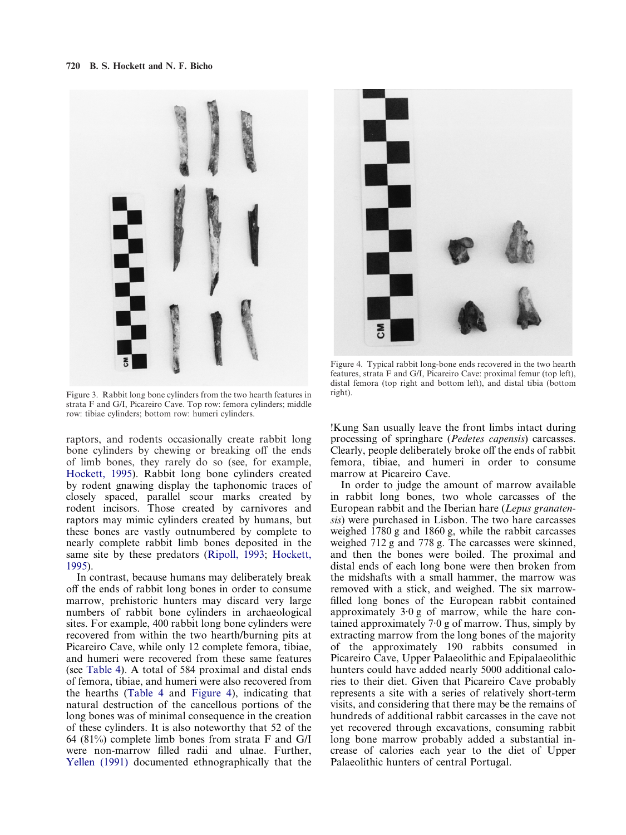<span id="page-5-0"></span>

Figure 3. Rabbit long bone cylinders from the two hearth features in strata F and G/I, Picareiro Cave. Top row: femora cylinders; middle row: tibiae cylinders; bottom row: humeri cylinders.

raptors, and rodents occasionally create rabbit long bone cylinders by chewing or breaking off the ends of limb bones, they rarely do so (see, for example, [Hockett, 1995\)](#page-7-5). Rabbit long bone cylinders created by rodent gnawing display the taphonomic traces of closely spaced, parallel scour marks created by rodent incisors. Those created by carnivores and raptors may mimic cylinders created by humans, but these bones are vastly outnumbered by complete to nearly complete rabbit limb bones deposited in the same site by these predators [\(Ripoll, 1993;](#page-7-9) [Hockett,](#page-7-5) [1995\)](#page-7-5).

In contrast, because humans may deliberately break off the ends of rabbit long bones in order to consume marrow, prehistoric hunters may discard very large numbers of rabbit bone cylinders in archaeological sites. For example, 400 rabbit long bone cylinders were recovered from within the two hearth/burning pits at Picareiro Cave, while only 12 complete femora, tibiae, and humeri were recovered from these same features (see [Table 4\)](#page-4-0). A total of 584 proximal and distal ends of femora, tibiae, and humeri were also recovered from the hearths [\(Table 4](#page-4-0) and [Figure 4\)](#page-5-1), indicating that natural destruction of the cancellous portions of the long bones was of minimal consequence in the creation of these cylinders. It is also noteworthy that 52 of the 64 (81%) complete limb bones from strata F and G/I were non-marrow filled radii and ulnae. Further, [Yellen \(1991\)](#page-8-12) documented ethnographically that the

<span id="page-5-1"></span>

Figure 4. Typical rabbit long-bone ends recovered in the two hearth features, strata F and G/I, Picareiro Cave: proximal femur (top left), distal femora (top right and bottom left), and distal tibia (bottom right).

!Kung San usually leave the front limbs intact during processing of springhare (*Pedetes capensis*) carcasses. Clearly, people deliberately broke off the ends of rabbit femora, tibiae, and humeri in order to consume marrow at Picareiro Cave.

In order to judge the amount of marrow available in rabbit long bones, two whole carcasses of the European rabbit and the Iberian hare (*Lepus granatensis*) were purchased in Lisbon. The two hare carcasses weighed 1780 g and 1860 g, while the rabbit carcasses weighed 712 g and 778 g. The carcasses were skinned, and then the bones were boiled. The proximal and distal ends of each long bone were then broken from the midshafts with a small hammer, the marrow was removed with a stick, and weighed. The six marrowfilled long bones of the European rabbit contained approximately  $3.0 \text{ g}$  of marrow, while the hare contained approximately 7·0 g of marrow. Thus, simply by extracting marrow from the long bones of the majority of the approximately 190 rabbits consumed in Picareiro Cave, Upper Palaeolithic and Epipalaeolithic hunters could have added nearly 5000 additional calories to their diet. Given that Picareiro Cave probably represents a site with a series of relatively short-term visits, and considering that there may be the remains of hundreds of additional rabbit carcasses in the cave not yet recovered through excavations, consuming rabbit long bone marrow probably added a substantial increase of calories each year to the diet of Upper Palaeolithic hunters of central Portugal.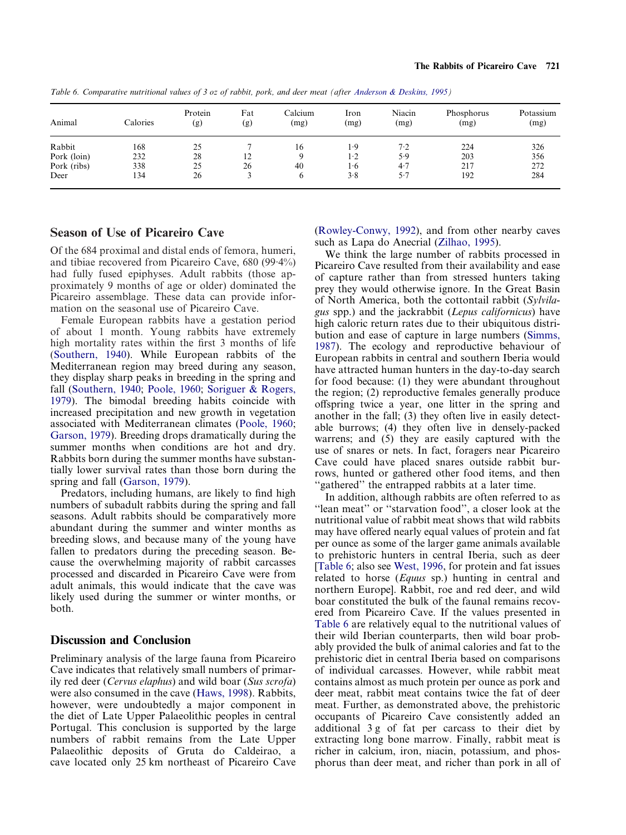| Animal      | Calories | Protein<br>(g) | Fat<br>(g) | Calcium<br>(mg) | Iron<br>(mg) | Niacin<br>(mg) | Phosphorus<br>(mg) | Potassium<br>(mg) |
|-------------|----------|----------------|------------|-----------------|--------------|----------------|--------------------|-------------------|
| Rabbit      | 168      | 25             |            | 16              | 1.9          | 7.2            | 224                | 326               |
| Pork (loin) | 232      | 28             | 12         |                 | $1-2$        | 5.9            | 203                | 356               |
| Pork (ribs) | 338      | 25             | 26         | 40              | 1.6          | 4.7            | 217                | 272               |
| Deer        | 134      | 26             |            | 6               | 3.8          | 5.7            | 192                | 284               |

<span id="page-6-0"></span>*Table 6. Comparative nutritional values of 3 oz of rabbit, pork, and deer meat (after [Anderson & Deskins, 1995\)](#page-7-23)*

# **Season of Use of Picareiro Cave**

Of the 684 proximal and distal ends of femora, humeri, and tibiae recovered from Picareiro Cave, 680 (99·4%) had fully fused epiphyses. Adult rabbits (those approximately 9 months of age or older) dominated the Picareiro assemblage. These data can provide information on the seasonal use of Picareiro Cave.

Female European rabbits have a gestation period of about 1 month. Young rabbits have extremely high mortality rates within the first 3 months of life [\(Southern, 1940\)](#page-8-13). While European rabbits of the Mediterranean region may breed during any season, they display sharp peaks in breeding in the spring and fall [\(Southern, 1940;](#page-8-13) [Poole, 1960;](#page-7-19) [Soriguer & Rogers,](#page-8-14) [1979\)](#page-8-14). The bimodal breeding habits coincide with increased precipitation and new growth in vegetation associated with Mediterranean climates [\(Poole, 1960;](#page-7-19) [Garson, 1979\)](#page-7-20). Breeding drops dramatically during the summer months when conditions are hot and dry. Rabbits born during the summer months have substantially lower survival rates than those born during the spring and fall [\(Garson, 1979\)](#page-7-20).

Predators, including humans, are likely to find high numbers of subadult rabbits during the spring and fall seasons. Adult rabbits should be comparatively more abundant during the summer and winter months as breeding slows, and because many of the young have fallen to predators during the preceding season. Because the overwhelming majority of rabbit carcasses processed and discarded in Picareiro Cave were from adult animals, this would indicate that the cave was likely used during the summer or winter months, or both.

### **Discussion and Conclusion**

Preliminary analysis of the large fauna from Picareiro Cave indicates that relatively small numbers of primarily red deer (*Cervus elaphus*) and wild boar (*Sus scrofa*) were also consumed in the cave [\(Haws, 1998\)](#page-7-21). Rabbits, however, were undoubtedly a major component in the diet of Late Upper Palaeolithic peoples in central Portugal. This conclusion is supported by the large numbers of rabbit remains from the Late Upper Palaeolithic deposits of Gruta do Caldeirao, a cave located only 25 km northeast of Picareiro Cave

[\(Rowley-Conwy, 1992\)](#page-7-22), and from other nearby caves such as Lapa do Anecrial [\(Zilhao, 1995\)](#page-8-8).

We think the large number of rabbits processed in Picareiro Cave resulted from their availability and ease of capture rather than from stressed hunters taking prey they would otherwise ignore. In the Great Basin of North America, both the cottontail rabbit (*Sylvilagus* spp.) and the jackrabbit (*Lepus californicus*) have high caloric return rates due to their ubiquitous distribution and ease of capture in large numbers [\(Simms,](#page-8-15) [1987\)](#page-8-15). The ecology and reproductive behaviour of European rabbits in central and southern Iberia would have attracted human hunters in the day-to-day search for food because: (1) they were abundant throughout the region; (2) reproductive females generally produce offspring twice a year, one litter in the spring and another in the fall; (3) they often live in easily detectable burrows; (4) they often live in densely-packed warrens; and (5) they are easily captured with the use of snares or nets. In fact, foragers near Picareiro Cave could have placed snares outside rabbit burrows, hunted or gathered other food items, and then 'gathered'' the entrapped rabbits at a later time.

In addition, although rabbits are often referred to as "lean meat" or "starvation food", a closer look at the nutritional value of rabbit meat shows that wild rabbits may have offered nearly equal values of protein and fat per ounce as some of the larger game animals available to prehistoric hunters in central Iberia, such as deer [\[Table 6;](#page-6-0) also see [West, 1996,](#page-8-16) for protein and fat issues related to horse (*Equus* sp.) hunting in central and northern Europe]. Rabbit, roe and red deer, and wild boar constituted the bulk of the faunal remains recovered from Picareiro Cave. If the values presented in [Table 6](#page-6-0) are relatively equal to the nutritional values of their wild Iberian counterparts, then wild boar probably provided the bulk of animal calories and fat to the prehistoric diet in central Iberia based on comparisons of individual carcasses. However, while rabbit meat contains almost as much protein per ounce as pork and deer meat, rabbit meat contains twice the fat of deer meat. Further, as demonstrated above, the prehistoric occupants of Picareiro Cave consistently added an additional 3 g of fat per carcass to their diet by extracting long bone marrow. Finally, rabbit meat is richer in calcium, iron, niacin, potassium, and phosphorus than deer meat, and richer than pork in all of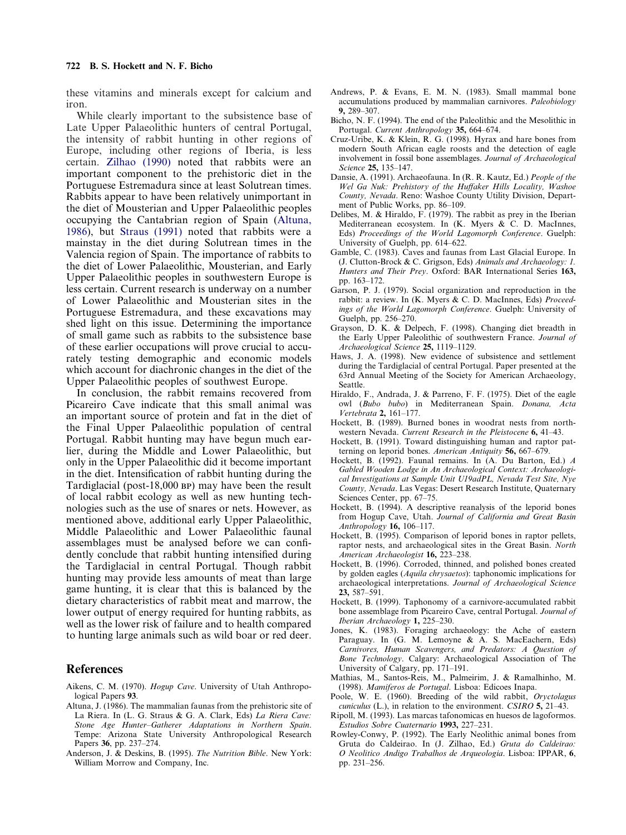these vitamins and minerals except for calcium and iron.

While clearly important to the subsistence base of Late Upper Palaeolithic hunters of central Portugal, the intensity of rabbit hunting in other regions of Europe, including other regions of Iberia, is less certain. [Zilhao \(1990\)](#page-8-6) noted that rabbits were an important component to the prehistoric diet in the Portuguese Estremadura since at least Solutrean times. Rabbits appear to have been relatively unimportant in the diet of Mousterian and Upper Palaeolithic peoples occupying the Cantabrian region of Spain [\(Altuna,](#page-7-24) [1986\)](#page-7-24), but [Straus \(1991\)](#page-8-7) noted that rabbits were a mainstay in the diet during Solutrean times in the Valencia region of Spain. The importance of rabbits to the diet of Lower Palaeolithic, Mousterian, and Early Upper Palaeolithic peoples in southwestern Europe is less certain. Current research is underway on a number of Lower Palaeolithic and Mousterian sites in the Portuguese Estremadura, and these excavations may shed light on this issue. Determining the importance of small game such as rabbits to the subsistence base of these earlier occupations will prove crucial to accurately testing demographic and economic models which account for diachronic changes in the diet of the Upper Palaeolithic peoples of southwest Europe.

In conclusion, the rabbit remains recovered from Picareiro Cave indicate that this small animal was an important source of protein and fat in the diet of the Final Upper Palaeolithic population of central Portugal. Rabbit hunting may have begun much earlier, during the Middle and Lower Palaeolithic, but only in the Upper Palaeolithic did it become important in the diet. Intensification of rabbit hunting during the Tardiglacial (post-18,000  $_{BP}$ ) may have been the result of local rabbit ecology as well as new hunting technologies such as the use of snares or nets. However, as mentioned above, additional early Upper Palaeolithic, Middle Palaeolithic and Lower Palaeolithic faunal assemblages must be analysed before we can confidently conclude that rabbit hunting intensified during the Tardiglacial in central Portugal. Though rabbit hunting may provide less amounts of meat than large game hunting, it is clear that this is balanced by the dietary characteristics of rabbit meat and marrow, the lower output of energy required for hunting rabbits, as well as the lower risk of failure and to health compared to hunting large animals such as wild boar or red deer.

# **References**

- <span id="page-7-12"></span>Aikens, C. M. (1970). *Hogup Cave*. University of Utah Anthropological Papers **93**.
- <span id="page-7-24"></span>Altuna, J. (1986). The mammalian faunas from the prehistoric site of La Riera. In (L. G. Straus & G. A. Clark, Eds) *La Riera Cave: Stone Age Hunter–Gatherer Adaptations in Northern Spain*. Tempe: Arizona State University Anthropological Research Papers **36**, pp. 237–274.
- <span id="page-7-23"></span>Anderson, J. & Deskins, B. (1995). *The Nutrition Bible*. New York: William Morrow and Company, Inc.
- <span id="page-7-4"></span>Andrews, P. & Evans, E. M. N. (1983). Small mammal bone accumulations produced by mammalian carnivores. *Paleobiology* **9,** 289–307.
- <span id="page-7-3"></span>Bicho, N. F. (1994). The end of the Paleolithic and the Mesolithic in Portugal. *Current Anthropology* **35,** 664–674.
- <span id="page-7-8"></span>Cruz-Uribe, K. & Klein, R. G. (1998). Hyrax and hare bones from modern South African eagle roosts and the detection of eagle involvement in fossil bone assemblages. *Journal of Archaeological Science* **25,** 135–147.
- <span id="page-7-14"></span>Dansie, A. (1991). Archaeofauna. In (R. R. Kautz, Ed.) *People of the Wel Ga Nuk: Prehistory of the Huffaker Hills Locality, Washoe County, Nevada*. Reno: Washoe County Utility Division, Department of Public Works, pp. 86–109.
- <span id="page-7-2"></span>Delibes, M. & Hiraldo, F. (1979). The rabbit as prey in the Iberian Mediterranean ecosystem. In (K. Myers & C. D. MacInnes, Eds) *Proceedings of the World Lagomorph Conference*. Guelph: University of Guelph, pp. 614–622.
- <span id="page-7-0"></span>Gamble, C. (1983). Caves and faunas from Last Glacial Europe. In (J. Clutton-Brock & C. Grigson, Eds) *Animals and Archaeology: 1. Hunters and Their Prey*. Oxford: BAR International Series **163,** pp. 163–172.
- <span id="page-7-20"></span>Garson, P. J. (1979). Social organization and reproduction in the rabbit: a review. In (K. Myers & C. D. MacInnes, Eds) *Proceedings of the World Lagomorph Conference*. Guelph: University of Guelph, pp. 256–270.
- <span id="page-7-1"></span>Grayson, D. K. & Delpech, F. (1998). Changing diet breadth in the Early Upper Paleolithic of southwestern France. *Journal of Archaeological Science* **25,** 1119–1129.
- <span id="page-7-21"></span>Haws, J. A. (1998). New evidence of subsistence and settlement during the Tardiglacial of central Portugal. Paper presented at the 63rd Annual Meeting of the Society for American Archaeology, Seattle.
- <span id="page-7-7"></span>Hiraldo, F., Andrada, J. & Parreno, F. F. (1975). Diet of the eagle owl (*Bubo bubo*) in Mediterranean Spain. *Donana, Acta Vertebrata* **2,** 161–177.
- <span id="page-7-13"></span>Hockett, B. (1989). Burned bones in woodrat nests from northwestern Nevada. *Current Research in the Pleistocene* **6,** 41–43.
- <span id="page-7-17"></span>Hockett, B. (1991). Toward distinguishing human and raptor patterning on leporid bones. *American Antiquity* **56,** 667–679.
- <span id="page-7-15"></span>Hockett, B. (1992). Faunal remains. In (A. Du Barton, Ed.) *A Gabled Wooden Lodge in An Archaeological Context: Archaeological Investigations at Sample Unit U19adPL, Nevada Test Site, Nye County, Nevada*. Las Vegas: Desert Research Institute, Quaternary Sciences Center, pp. 67-75.
- <span id="page-7-18"></span>Hockett, B. (1994). A descriptive reanalysis of the leporid bones from Hogup Cave, Utah. *Journal of California and Great Basin Anthropology* **16,** 106–117.
- <span id="page-7-5"></span>Hockett, B. (1995). Comparison of leporid bones in raptor pellets, raptor nests, and archaeological sites in the Great Basin. *North American Archaeologist* **16,** 223–238.
- <span id="page-7-6"></span>Hockett, B. (1996). Corroded, thinned, and polished bones created by golden eagles (*Aquila chrysaetos*): taphonomic implications for archaeological interpretations. *Journal of Archaeological Science* **23,** 587–591.
- <span id="page-7-11"></span>Hockett, B. (1999). Taphonomy of a carnivore-accumulated rabbit bone assemblage from Picareiro Cave, central Portugal. *Journal of Iberian Archaeology* **1,** 225–230.
- <span id="page-7-16"></span>Jones, K. (1983). Foraging archaeology: the Ache of eastern Paraguay. In (G. M. Lemoyne & A. S. MacEachern, Eds) *Carnivores, Human Scavengers, and Predators: A Question of Bone Technology*. Calgary: Archaeological Association of The University of Calgary, pp. 171–191.
- <span id="page-7-10"></span>Mathias, M., Santos-Reis, M., Palmeirim, J. & Ramalhinho, M. (1998). *Mamiferos de Portugal*. Lisboa: Edicoes Inapa.
- <span id="page-7-19"></span>Poole, W. E. (1960). Breeding of the wild rabbit, *Oryctolagus cuniculus* (L.), in relation to the environment. *CSIRO* **5,** 21–43.
- <span id="page-7-9"></span>Ripoll, M. (1993). Las marcas tafonomicas en huesos de lagoformos. *Estudios Sobre Cuaternario* **1993,** 227–231.
- <span id="page-7-22"></span>Rowley-Conwy, P. (1992). The Early Neolithic animal bones from Gruta do Caldeirao. In (J. Zilhao, Ed.) *Gruta do Caldeirao: O Neolitico Andigo Trabalhos de Arqueologia*. Lisboa: IPPAR, **6**, pp. 231–256.